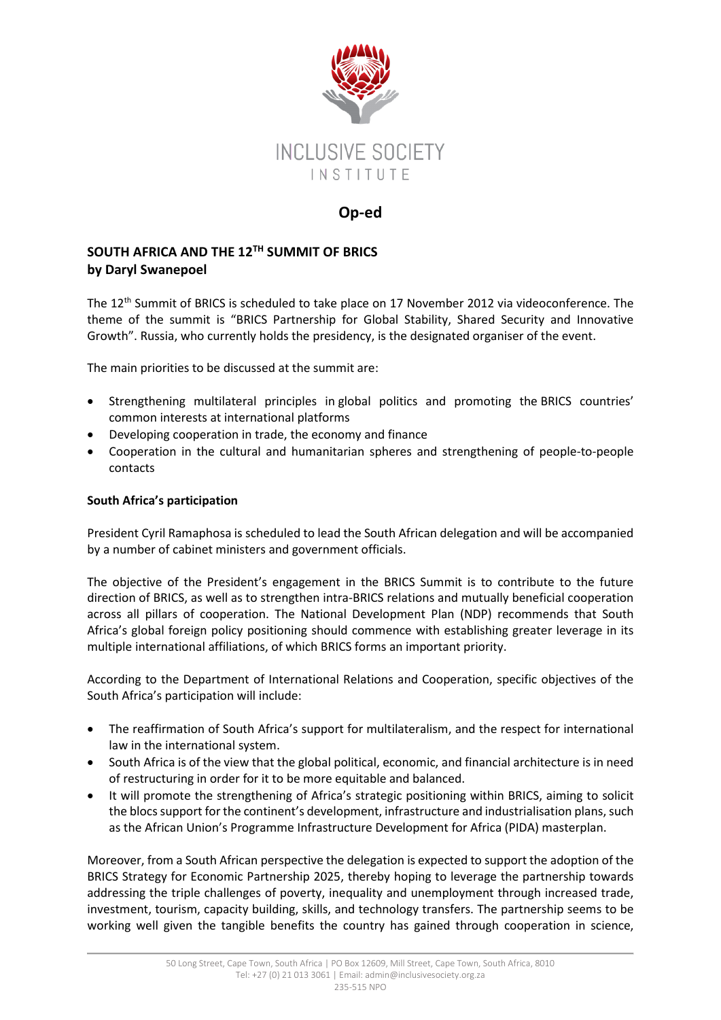

## **Op-ed**

## **SOUTH AFRICA AND THE 12TH SUMMIT OF BRICS by Daryl Swanepoel**

The 12th Summit of BRICS is scheduled to take place on 17 November 2012 via videoconference. The theme of the summit is "BRICS Partnership for Global Stability, Shared Security and Innovative Growth". Russia, who currently holds the presidency, is the designated organiser of the event.

The main priorities to be discussed at the summit are:

- Strengthening multilateral principles in global politics and promoting the BRICS countries' common interests at international platforms
- Developing cooperation in trade, the economy and finance
- Cooperation in the cultural and humanitarian spheres and strengthening of people-to-people contacts

## **South Africa's participation**

President Cyril Ramaphosa is scheduled to lead the South African delegation and will be accompanied by a number of cabinet ministers and government officials.

The objective of the President's engagement in the BRICS Summit is to contribute to the future direction of BRICS, as well as to strengthen intra-BRICS relations and mutually beneficial cooperation across all pillars of cooperation. The National Development Plan (NDP) recommends that South Africa's global foreign policy positioning should commence with establishing greater leverage in its multiple international affiliations, of which BRICS forms an important priority.

According to the Department of International Relations and Cooperation, specific objectives of the South Africa's participation will include:

- The reaffirmation of South Africa's support for multilateralism, and the respect for international law in the international system.
- South Africa is of the view that the global political, economic, and financial architecture is in need of restructuring in order for it to be more equitable and balanced.
- It will promote the strengthening of Africa's strategic positioning within BRICS, aiming to solicit the blocs support for the continent's development, infrastructure and industrialisation plans, such as the African Union's Programme Infrastructure Development for Africa (PIDA) masterplan.

Moreover, from a South African perspective the delegation is expected to support the adoption of the BRICS Strategy for Economic Partnership 2025, thereby hoping to leverage the partnership towards addressing the triple challenges of poverty, inequality and unemployment through increased trade, investment, tourism, capacity building, skills, and technology transfers. The partnership seems to be working well given the tangible benefits the country has gained through cooperation in science,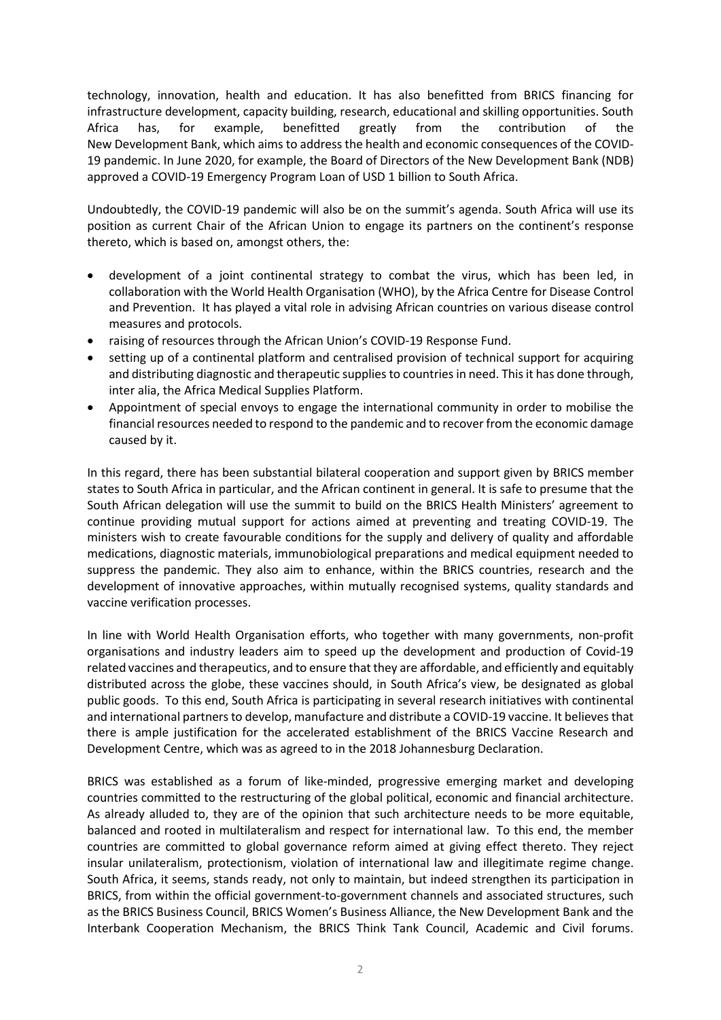technology, innovation, health and education. It has also benefitted from BRICS financing for infrastructure development, capacity building, research, educational and skilling opportunities. South Africa has, for example, benefitted greatly from the contribution of the New Development Bank, which aims to address the health and economic consequences of the COVID-19 pandemic. In June 2020, for example, the Board of Directors of the New Development Bank (NDB) approved a COVID-19 Emergency Program Loan of USD 1 billion to South Africa.

Undoubtedly, the COVID-19 pandemic will also be on the summit's agenda. South Africa will use its position as current Chair of the African Union to engage its partners on the continent's response thereto, which is based on, amongst others, the:

- development of a joint continental strategy to combat the virus, which has been led, in collaboration with the World Health Organisation (WHO), by the Africa Centre for Disease Control and Prevention. It has played a vital role in advising African countries on various disease control measures and protocols.
- raising of resources through the African Union's COVID-19 Response Fund.
- setting up of a continental platform and centralised provision of technical support for acquiring and distributing diagnostic and therapeutic supplies to countries in need. This it has done through, inter alia, the Africa Medical Supplies Platform.
- Appointment of special envoys to engage the international community in order to mobilise the financial resources needed to respond to the pandemic and to recover from the economic damage caused by it.

In this regard, there has been substantial bilateral cooperation and support given by BRICS member states to South Africa in particular, and the African continent in general. It is safe to presume that the South African delegation will use the summit to build on the BRICS Health Ministers' agreement to continue providing mutual support for actions aimed at preventing and treating COVID-19. The ministers wish to create favourable conditions for the supply and delivery of quality and affordable medications, diagnostic materials, immunobiological preparations and medical equipment needed to suppress the pandemic. They also aim to enhance, within the BRICS countries, research and the development of innovative approaches, within mutually recognised systems, quality standards and vaccine verification processes.

In line with World Health Organisation efforts, who together with many governments, non-profit organisations and industry leaders aim to speed up the development and production of Covid-19 related vaccines and therapeutics, and to ensure that they are affordable, and efficiently and equitably distributed across the globe, these vaccines should, in South Africa's view, be designated as global public goods. To this end, South Africa is participating in several research initiatives with continental and international partners to develop, manufacture and distribute a COVID-19 vaccine. It believes that there is ample justification for the accelerated establishment of the BRICS Vaccine Research and Development Centre, which was as agreed to in the 2018 Johannesburg Declaration.

BRICS was established as a forum of like-minded, progressive emerging market and developing countries committed to the restructuring of the global political, economic and financial architecture. As already alluded to, they are of the opinion that such architecture needs to be more equitable, balanced and rooted in multilateralism and respect for international law. To this end, the member countries are committed to global governance reform aimed at giving effect thereto. They reject insular unilateralism, protectionism, violation of international law and illegitimate regime change. South Africa, it seems, stands ready, not only to maintain, but indeed strengthen its participation in BRICS, from within the official government-to-government channels and associated structures, such as the BRICS Business Council, BRICS Women's Business Alliance, the New Development Bank and the Interbank Cooperation Mechanism, the BRICS Think Tank Council, Academic and Civil forums.